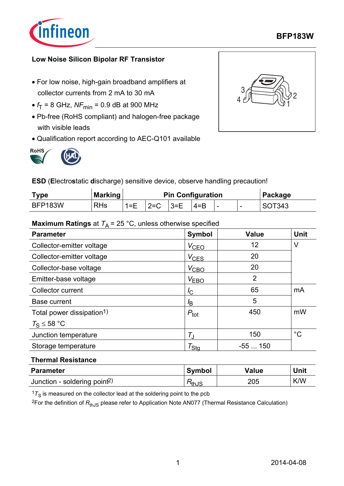

### **BFP183W**

### **Low Noise Silicon Bipolar RF Transistor**

- For low noise, high-gain broadband amplifiers at collector currents from 2 mA to 30 mA
- $f_T = 8$  GHz,  $NF_{min} = 0.9$  dB at 900 MHz
- Pb-free (RoHS compliant) and halogen-free package with visible leads
- Qualification report according to AEC-Q101 available







**ESD** (**E**lectro**s**tatic **d**ischarge) sensitive device, observe handling precaution!

| <b>Type</b>    | <b>Marking</b> | <b>Pin Configuration</b> |          |          |         |  | Package |        |
|----------------|----------------|--------------------------|----------|----------|---------|--|---------|--------|
| <b>BFP183W</b> | <b>RHs</b>     | $1 = E$                  | $12 = C$ | $13 = F$ | $4 = B$ |  |         | SOT343 |

### **Maximum Ratings** at  $T_A = 25 \degree C$ , unless otherwise specified

| $\sqrt{ }$<br><b>Parameter</b>        | <b>Symbol</b>       | Value          | <b>Unit</b> |
|---------------------------------------|---------------------|----------------|-------------|
| Collector-emitter voltage             | $V_{CEO}$           | 12             | V           |
| Collector-emitter voltage             | $V_{\text{CES}}$    | 20             |             |
| Collector-base voltage                | $V_{\text{CBO}}$    | 20             |             |
| Emitter-base voltage                  | V <sub>EBO</sub>    | $\overline{2}$ |             |
| Collector current                     | $I_{\rm C}$         | 65             | mA          |
| <b>Base current</b>                   | $l_{\text{B}}$      | 5              |             |
| Total power dissipation <sup>1)</sup> | $P_{\text{tot}}$    | 450            | mW          |
| $T_S \leq 58 °C$                      |                     |                |             |
| Junction temperature                  | $T_{\rm J}$         | 150            | $^{\circ}C$ |
| Storage temperature                   | $\tau_{\text{Stq}}$ | $-55150$       |             |

#### **Thermal Resistance**

| <b>Parameter</b>                         | <b>Symbol</b> | Value | Unit |
|------------------------------------------|---------------|-------|------|
| Junction - soldering point <sup>2)</sup> | ™thJS         | 205   | K/W  |

 $17<sub>S</sub>$  is measured on the collector lead at the soldering point to the pcb

<sup>2</sup>For the definition of R<sub>thJS</sub> please refer to Application Note AN077 (Thermal Resistance Calculation)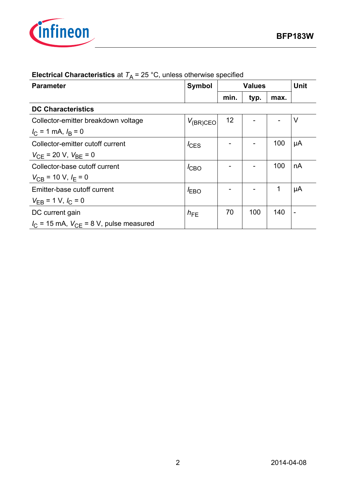

| <b>Parameter</b>                                        | <b>Symbol</b>   | <b>Values</b> |      | <b>Unit</b> |                          |
|---------------------------------------------------------|-----------------|---------------|------|-------------|--------------------------|
|                                                         |                 | min.          | typ. | max.        |                          |
| <b>DC Characteristics</b>                               |                 |               |      |             |                          |
| Collector-emitter breakdown voltage                     | $V_{(BR)CEO}$   | 12            |      |             | $\vee$                   |
| $I_{\rm C}$ = 1 mA, $I_{\rm B}$ = 0                     |                 |               |      |             |                          |
| Collector-emitter cutoff current                        | $I_{CES}$       |               |      | 100         | μA                       |
| $V_{\text{CE}}$ = 20 V, $V_{\text{BE}}$ = 0             |                 |               |      |             |                          |
| Collector-base cutoff current                           | $I_{CBO}$       |               |      | 100         | nA                       |
| $V_{\text{CB}}$ = 10 V, $I_{\text{F}}$ = 0              |                 |               |      |             |                          |
| Emitter-base cutoff current                             | $I_{EBO}$       |               |      | 1           | μA                       |
| $V_{EB}$ = 1 V, $I_C$ = 0                               |                 |               |      |             |                          |
| DC current gain                                         | $h_{\text{FE}}$ | 70            | 100  | 140         | $\overline{\phantom{a}}$ |
| $I_{\rm C}$ = 15 mA, $V_{\rm CE}$ = 8 V, pulse measured |                 |               |      |             |                          |

# **Electrical Characteristics** at  $T_A = 25 \degree C$ , unless otherwise specified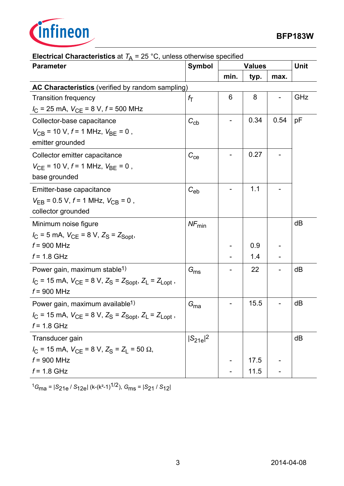

| <b>Parameter</b>                                                                                                         | <b>Symbol</b>    | <b>Values</b> |      | <b>Unit</b> |     |
|--------------------------------------------------------------------------------------------------------------------------|------------------|---------------|------|-------------|-----|
|                                                                                                                          |                  | min.          | typ. | max.        |     |
| AC Characteristics (verified by random sampling)                                                                         |                  |               |      |             |     |
| <b>Transition frequency</b>                                                                                              | $f_{\mathsf{T}}$ | 6             | 8    |             | GHz |
| $I_{\rm C}$ = 25 mA, $V_{\rm CE}$ = 8 V, $f$ = 500 MHz                                                                   |                  |               |      |             |     |
| Collector-base capacitance                                                                                               | $C_{\rm cb}$     |               | 0.34 | 0.54        | pF  |
| $V_{CB}$ = 10 V, f = 1 MHz, $V_{BE}$ = 0,                                                                                |                  |               |      |             |     |
| emitter grounded                                                                                                         |                  |               |      |             |     |
| Collector emitter capacitance                                                                                            | $C_{ce}$         |               | 0.27 |             |     |
| $V_{CE}$ = 10 V, $f$ = 1 MHz, $V_{BE}$ = 0,                                                                              |                  |               |      |             |     |
| base grounded                                                                                                            |                  |               |      |             |     |
| Emitter-base capacitance                                                                                                 | $C_{eb}$         |               | 1.1  |             |     |
| $V_{\text{FB}}$ = 0.5 V, f = 1 MHz, $V_{\text{CB}}$ = 0,                                                                 |                  |               |      |             |     |
| collector grounded                                                                                                       |                  |               |      |             |     |
| Minimum noise figure                                                                                                     | $NF_{min}$       |               |      |             | dB  |
| $I_{C}$ = 5 mA, $V_{CE}$ = 8 V, $Z_{S}$ = $Z_{Sopt}$ ,                                                                   |                  |               |      |             |     |
| $f = 900$ MHz                                                                                                            |                  |               | 0.9  |             |     |
| $f = 1.8$ GHz                                                                                                            |                  |               | 1.4  |             |     |
| Power gain, maximum stable <sup>1)</sup>                                                                                 | $G_{\text{ms}}$  |               | 22   |             | dB  |
| $I_{\text{C}}$ = 15 mA, $V_{\text{CE}}$ = 8 V, $Z_{\text{S}}$ = $Z_{\text{Sopt}}$ , $Z_{\text{L}}$ = $Z_{\text{Lopt}}$ , |                  |               |      |             |     |
| $f = 900$ MHz                                                                                                            |                  |               |      |             |     |
| Power gain, maximum available <sup>1)</sup>                                                                              | $G_{ma}$         |               | 15.5 |             | dB  |
| $I_{\text{C}}$ = 15 mA, $V_{\text{CE}}$ = 8 V, $Z_{\text{S}}$ = $Z_{\text{Sopt}}$ , $Z_{\text{L}}$ = $Z_{\text{Lopt}}$ , |                  |               |      |             |     |
| $f = 1.8$ GHz                                                                                                            |                  |               |      |             |     |
| Transducer gain                                                                                                          | $ S_{21e} ^2$    |               |      |             | dB  |
| $I_{\rm C}$ = 15 mA, $V_{\rm CE}$ = 8 V, $Z_{\rm S}$ = $Z_{\rm L}$ = 50 $\Omega$ ,                                       |                  |               |      |             |     |
| $f = 900$ MHz                                                                                                            |                  |               | 17.5 |             |     |
| $f = 1.8$ GHz                                                                                                            |                  |               | 11.5 |             |     |

# **Electrical Characteristics** at  $T_A = 25 \degree C$ , unless otherwise specified

<sup>1</sup>*G*ma = |*S*21e / *S*12e| (k-(k²-1)1/2), *G*ms = |*S*21 / *S*12|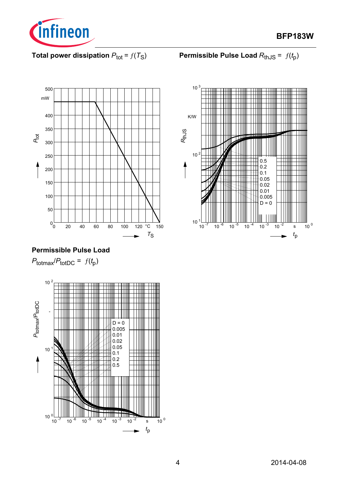

**BFP183W**

## **Total power dissipation**  $P_{\text{tot}} = f(T_S)$

**Permissible Pulse Load**  $R_{th,JS} = f(t_0)$ 



## **Permissible Pulse Load**

 $P_{\text{totmax}}/P_{\text{totDC}} = f(t_p)$ 



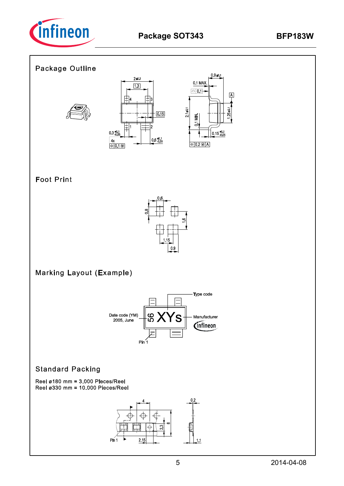